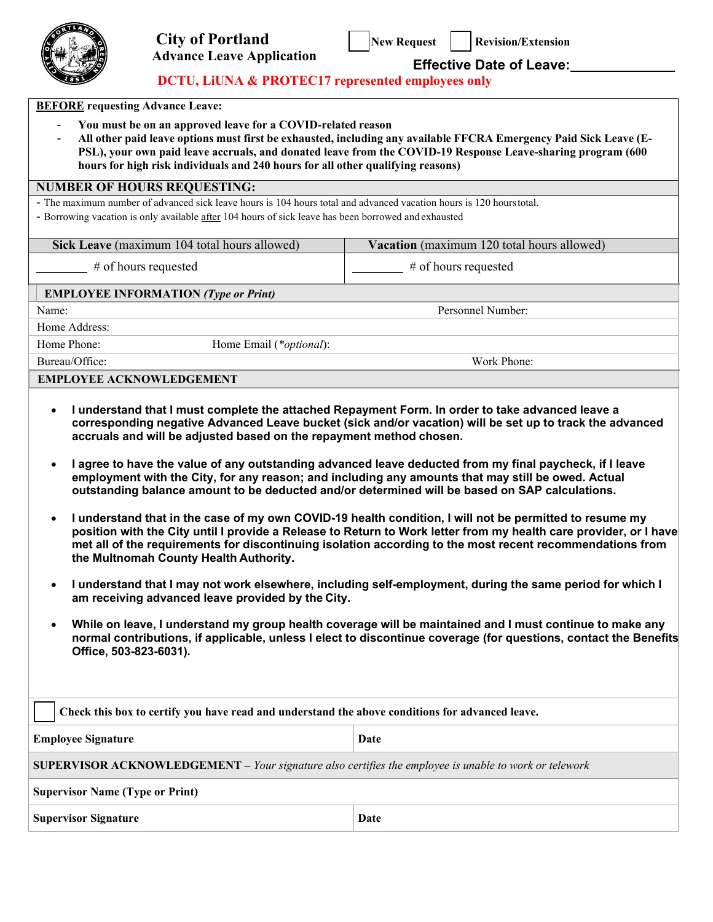

# **Advance Leave Application Effective Date of Leave:**

# **DCTU, LiUNA & PROTEC17 represented employees only**

| <b>BEFORE</b> requesting Advance Leave: |  |
|-----------------------------------------|--|
|-----------------------------------------|--|

- **You must be on an approved leave for a COVID-related reason**

All other paid leave options must first be exhausted, including any available FFCRA Emergency Paid Sick Leave (E-**PSL), your own paid leave accruals, and donated leave from the COVID-19 Response Leave-sharing program (600 hours for high risk individuals and 240 hours for all other qualifying reasons)**

### **NUMBER OF HOURS REQUESTING:**

- The maximum number of advanced sick leave hours is 104 hours total and advanced vacation hours is 120 hourstotal.

- Borrowing vacation is only available after 104 hours of sick leave has been borrowed and exhausted

| Sick Leave (maximum 104 total hours allowed) |                                  | Vacation (maximum 120 total hours allowed) |  |
|----------------------------------------------|----------------------------------|--------------------------------------------|--|
| # of hours requested                         |                                  | $#$ of hours requested                     |  |
| <b>EMPLOYEE INFORMATION (Type or Print)</b>  |                                  |                                            |  |
| Name:                                        |                                  | Personnel Number:                          |  |
| Home Address:                                |                                  |                                            |  |
| Home Phone:                                  | Home Email ( <i>*optional</i> ): |                                            |  |
| Bureau/Office:                               |                                  | Work Phone:                                |  |
| <b>EMPLOYEE ACKNOWLEDGEMENT</b>              |                                  |                                            |  |

- **I understand that I must complete the attached Repayment Form. In order to take advanced leave a corresponding negative Advanced Leave bucket (sick and/or vacation) will be set up to track the advanced accruals and will be adjusted based on the repayment method chosen.**
- **I agree to have the value of any outstanding advanced leave deducted from my final paycheck, if I leave employment with the City, for any reason; and including any amounts that may still be owed. Actual outstanding balance amount to be deducted and/or determined will be based on SAP calculations.**
- **I understand that in the case of my own COVID-19 health condition, I will not be permitted to resume my position with the City until I provide a Release to Return to Work letter from my health care provider, or I have met all of the requirements for discontinuing isolation according to the most recent recommendations from the Multnomah County Health Authority.**
- **I understand that I may not work elsewhere, including self-employment, during the same period for which I am receiving advanced leave provided by the City.**
- **While on leave, I understand my group health coverage will be maintained and I must continue to make any normal contributions, if applicable, unless I elect to discontinue coverage (for questions, contact the Benefits Office, 503-823-6031).**

| Check this box to certify you have read and understand the above conditions for advanced leave.              |  |  |  |  |
|--------------------------------------------------------------------------------------------------------------|--|--|--|--|
| <b>Employee Signature</b><br>Date                                                                            |  |  |  |  |
| <b>SUPERVISOR ACKNOWLEDGEMENT</b> - Your signature also certifies the employee is unable to work or telework |  |  |  |  |
| <b>Supervisor Name (Type or Print)</b>                                                                       |  |  |  |  |
| <b>Supervisor Signature</b><br>Date                                                                          |  |  |  |  |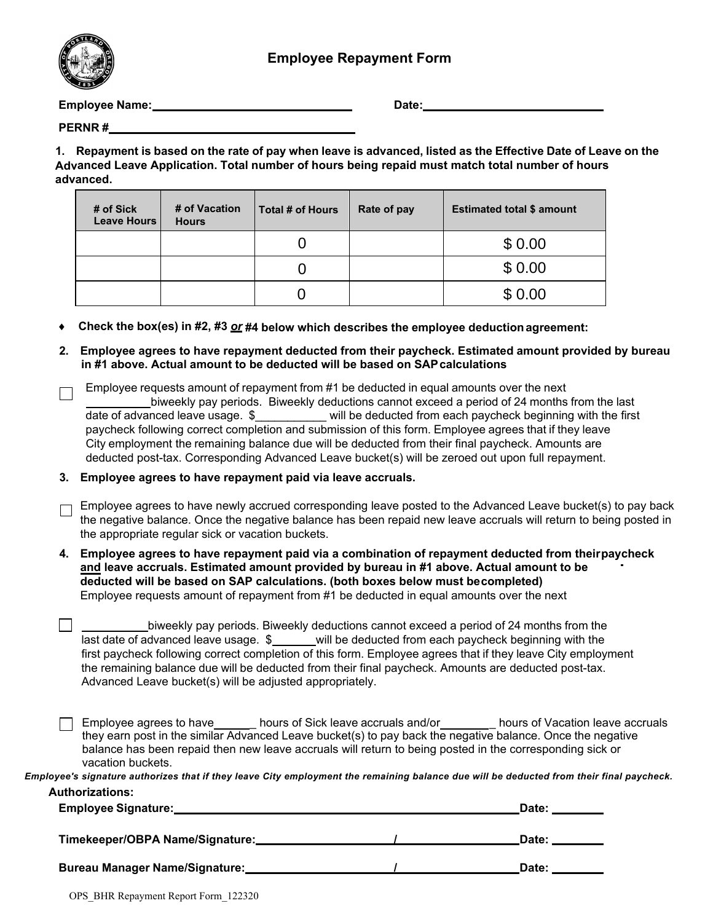

**Employee Name: Date: Date: Date: Date: Date: Date: Date: Date: Date: Date: Date: Date: Date: Date: Date: Date: Date: Date: Date: Date: Date: Date: Date: Date: Date: Date** 

**PERNR #** 

1. Repayment is based on the rate of pay when leave is advanced, listed as the Effective Date of Leave on the **Advanced Leave Application. Total number of hours being repaid must match total number of hours advanced.**

| # of Sick<br><b>Leave Hours</b> | # of Vacation<br><b>Hours</b> | Total # of Hours | Rate of pay | <b>Estimated total \$ amount</b> |
|---------------------------------|-------------------------------|------------------|-------------|----------------------------------|
|                                 |                               |                  |             | \$0.00                           |
|                                 |                               |                  |             | \$0.00                           |
|                                 |                               |                  |             | \$0.00                           |

♦ **Check the box(es) in #2, #3** *or* **#4 below which describes the employee deduction agreement:**

**2. Employee agrees to have repayment deducted from their paycheck. Estimated amount provided by bureau in #1 above. Actual amount to be deducted will be based on SAPcalculations**

|    | Employee requests amount of repayment from #1 be deducted in equal amounts over the next<br>biweekly pay periods. Biweekly deductions cannot exceed a period of 24 months from the last<br>date of advanced leave usage. \$___________ will be deducted from each paycheck beginning with the first<br>paycheck following correct completion and submission of this form. Employee agrees that if they leave<br>City employment the remaining balance due will be deducted from their final paycheck. Amounts are<br>deducted post-tax. Corresponding Advanced Leave bucket(s) will be zeroed out upon full repayment. |
|----|------------------------------------------------------------------------------------------------------------------------------------------------------------------------------------------------------------------------------------------------------------------------------------------------------------------------------------------------------------------------------------------------------------------------------------------------------------------------------------------------------------------------------------------------------------------------------------------------------------------------|
| 3. | Employee agrees to have repayment paid via leave accruals.                                                                                                                                                                                                                                                                                                                                                                                                                                                                                                                                                             |
|    | Employee agrees to have newly accrued corresponding leave posted to the Advanced Leave bucket(s) to pay back<br>the negative balance. Once the negative balance has been repaid new leave accruals will return to being posted in<br>the appropriate regular sick or vacation buckets.                                                                                                                                                                                                                                                                                                                                 |
| 4. | Employee agrees to have repayment paid via a combination of repayment deducted from theirpaycheck<br>and leave accruals. Estimated amount provided by bureau in #1 above. Actual amount to be<br>deducted will be based on SAP calculations. (both boxes below must becompleted)<br>Employee requests amount of repayment from #1 be deducted in equal amounts over the next                                                                                                                                                                                                                                           |
|    | biweekly pay periods. Biweekly deductions cannot exceed a period of 24 months from the<br>last date of advanced leave usage. \$_____will be deducted from each paycheck beginning with the<br>first paycheck following correct completion of this form. Employee agrees that if they leave City employment<br>the remaining balance due will be deducted from their final paycheck. Amounts are deducted post-tax.<br>Advanced Leave bucket(s) will be adjusted appropriately.                                                                                                                                         |
|    | Employee agrees to have ________ hours of Sick leave accruals and/or ___________ hours of Vacation leave accruals<br>they earn post in the similar Advanced Leave bucket(s) to pay back the negative balance. Once the negative<br>balance has been repaid then new leave accruals will return to being posted in the corresponding sick or<br>vacation buckets.                                                                                                                                                                                                                                                       |

**Authorizations:**  *Employee's signature authorizes that if they leave City employment the remaining balance due will be deducted from their final paycheck.*

| <b>Employee Signature:</b>            | Date: |
|---------------------------------------|-------|
| Timekeeper/OBPA Name/Signature:       | Date: |
| <b>Bureau Manager Name/Signature:</b> | Date: |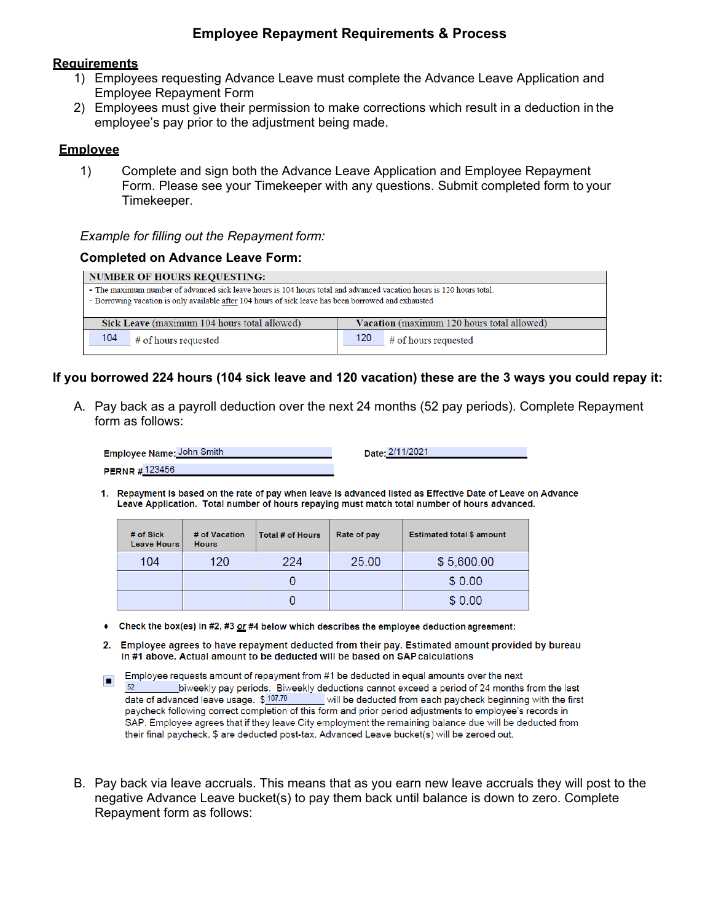# **Employee Repayment Requirements & Process**

#### **Requirements**

- 1) Employees requesting Advance Leave must complete the Advance Leave Application and Employee Repayment Form
- 2) Employees must give their permission to make corrections which result in a deduction in the employee's pay prior to the adjustment being made.

#### **Employee**

1) Complete and sign both the Advance Leave Application and Employee Repayment Form. Please see your Timekeeper with any questions. Submit completed form to your Timekeeper.

#### *Example for filling out the Repayment form:*

#### **Completed on Advance Leave Form:**

| <b>NUMBER OF HOURS REOUESTING:</b>                                                                                   |                             |  |  |  |
|----------------------------------------------------------------------------------------------------------------------|-----------------------------|--|--|--|
| - The maximum number of advanced sick leave hours is 104 hours total and advanced vacation hours is 120 hours total. |                             |  |  |  |
| - Borrowing vacation is only available after 104 hours of sick leave has been borrowed and exhausted                 |                             |  |  |  |
|                                                                                                                      |                             |  |  |  |
| Vacation (maximum 120 hours total allowed)<br>Sick Leave (maximum 104 hours total allowed)                           |                             |  |  |  |
| 104<br># of hours requested                                                                                          | 120<br># of hours requested |  |  |  |

# **If you borrowed 224 hours (104 sick leave and 120 vacation) these are the 3 ways you could repay it:**

A. Pay back as a payroll deduction over the next 24 months (52 pay periods). Complete Repayment form as follows:

| <b>Employee Name: John Smith</b> | Date: 2/11/2021 |
|----------------------------------|-----------------|
| <b>PERNR#123456</b>              |                 |

1. Repayment is based on the rate of pay when leave is advanced listed as Effective Date of Leave on Advance Leave Application. Total number of hours repaying must match total number of hours advanced.

| # of Sick<br><b>Leave Hours</b> | # of Vacation<br><b>Hours</b> | Total # of Hours | Rate of pay | <b>Estimated total \$ amount</b> |
|---------------------------------|-------------------------------|------------------|-------------|----------------------------------|
| 104                             | 120                           | 224              | 25.00       | \$5,600.00                       |
|                                 |                               |                  |             | \$0.00                           |
|                                 |                               |                  |             | \$0.00                           |

- $\bullet$  Check the box(es) in #2, #3 or #4 below which describes the employee deduction agreement:
- 2. Employee agrees to have repayment deducted from their pay. Estimated amount provided by bureau in #1 above. Actual amount to be deducted will be based on SAP calculations
- Employee requests amount of repayment from #1 be deducted in equal amounts over the next  $\blacksquare$  $52$ biweekly pay periods. Biweekly deductions cannot exceed a period of 24 months from the last date of advanced leave usage. \$107.70 will be deducted from each paycheck beginning with the first paycheck following correct completion of this form and prior period adjustments to employee's records in SAP. Employee agrees that if they leave City employment the remaining balance due will be deducted from their final paycheck. \$ are deducted post-tax. Advanced Leave bucket(s) will be zeroed out.
- B. Pay back via leave accruals. This means that as you earn new leave accruals they will post to the negative Advance Leave bucket(s) to pay them back until balance is down to zero. Complete Repayment form as follows: